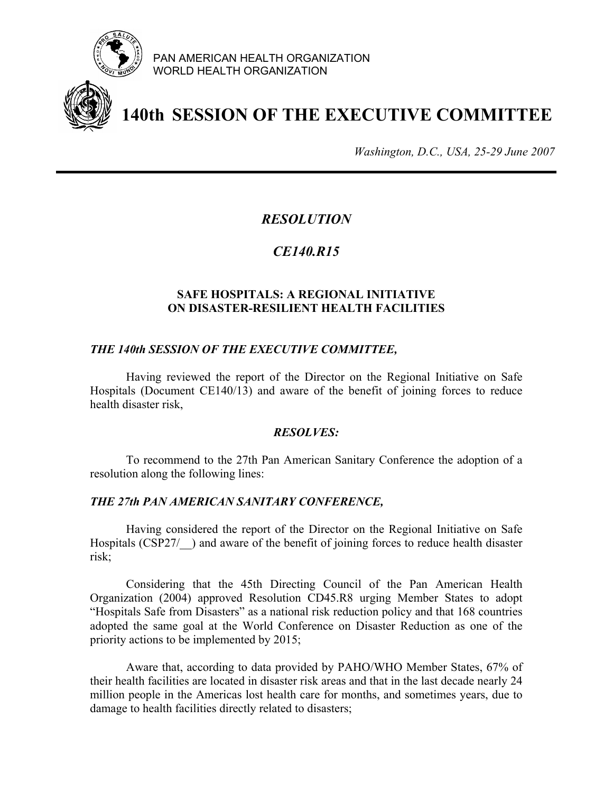

PAN AMERICAN HEALTH ORGANIZATION WORLD HEALTH ORGANIZATION



# **140th SESSION OF THE EXECUTIVE COMMITTEE**

*Washington, D.C., USA, 25-29 June 2007*

## *RESOLUTION*

## *CE140.R15*

### **SAFE HOSPITALS: A REGIONAL INITIATIVE ON DISASTER-RESILIENT HEALTH FACILITIES**

#### *THE 140th SESSION OF THE EXECUTIVE COMMITTEE,*

Having reviewed the report of the Director on the Regional Initiative on Safe Hospitals (Document CE140/13) and aware of the benefit of joining forces to reduce health disaster risk,

#### *RESOLVES:*

To recommend to the 27th Pan American Sanitary Conference the adoption of a resolution along the following lines:

#### *THE 27th PAN AMERICAN SANITARY CONFERENCE,*

 Having considered the report of the Director on the Regional Initiative on Safe Hospitals (CSP27/ $\rightarrow$ ) and aware of the benefit of joining forces to reduce health disaster risk;

 Considering that the 45th Directing Council of the Pan American Health Organization (2004) approved Resolution CD45.R8 urging Member States to adopt "Hospitals Safe from Disasters" as a national risk reduction policy and that 168 countries adopted the same goal at the World Conference on Disaster Reduction as one of the priority actions to be implemented by 2015;

 Aware that, according to data provided by PAHO/WHO Member States, 67% of their health facilities are located in disaster risk areas and that in the last decade nearly 24 million people in the Americas lost health care for months, and sometimes years, due to damage to health facilities directly related to disasters;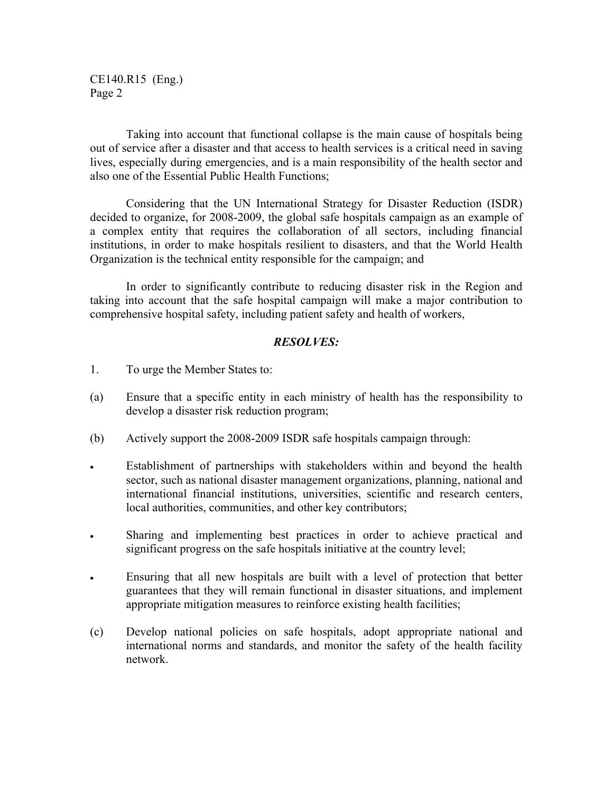CE140.R15 (Eng.) Page 2

 Taking into account that functional collapse is the main cause of hospitals being out of service after a disaster and that access to health services is a critical need in saving lives, especially during emergencies, and is a main responsibility of the health sector and also one of the Essential Public Health Functions;

 Considering that the UN International Strategy for Disaster Reduction (ISDR) decided to organize, for 2008-2009, the global safe hospitals campaign as an example of a complex entity that requires the collaboration of all sectors, including financial institutions, in order to make hospitals resilient to disasters, and that the World Health Organization is the technical entity responsible for the campaign; and

In order to significantly contribute to reducing disaster risk in the Region and taking into account that the safe hospital campaign will make a major contribution to comprehensive hospital safety, including patient safety and health of workers,

#### *RESOLVES:*

- 1. To urge the Member States to:
- (a) Ensure that a specific entity in each ministry of health has the responsibility to develop a disaster risk reduction program;
- (b) Actively support the 2008-2009 ISDR safe hospitals campaign through:
- Establishment of partnerships with stakeholders within and beyond the health sector, such as national disaster management organizations, planning, national and international financial institutions, universities, scientific and research centers, local authorities, communities, and other key contributors;
- Sharing and implementing best practices in order to achieve practical and significant progress on the safe hospitals initiative at the country level;
- Ensuring that all new hospitals are built with a level of protection that better guarantees that they will remain functional in disaster situations, and implement appropriate mitigation measures to reinforce existing health facilities;
- (c) Develop national policies on safe hospitals, adopt appropriate national and international norms and standards, and monitor the safety of the health facility network.